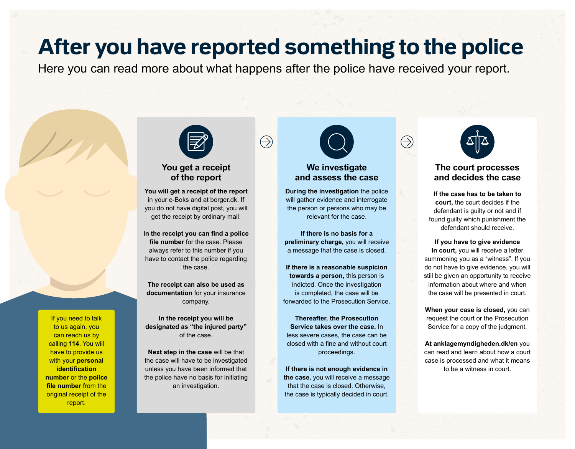## **After you have reported something to the police**

Here you can read more about what happens after the police have received your report.

 $\bigoplus$ 



#### **You get a receipt of the report**

**You will get a receipt of the report** in your e-Boks and at [borger.dk.](http://borger.dk) If you do not have digital post, you will get the receipt by ordinary mail.

In the receipt you can find a police **file number** for the case. Please always refer to this number if you have to contact the police regarding the case.

**The receipt can also be used as documentation** for your insurance company.

**In the receipt you will be designated as "the injured party"** of the case.

**Next step in the case** will be that the case will have to be investigated unless you have been informed that the police have no basis for initiating an investigation.



#### **We investigate and assess the case**

**During the investigation** the police will gather evidence and interrogate the person or persons who may be relevant for the case.

**If there is no basis for a preliminary charge,** you will receive a message that the case is closed.

**If there is a reasonable suspicion towards a person,** this person is indicted. Once the investigation is completed, the case will be forwarded to the Prosecution Service.

**Thereafter, the Prosecution Service takes over the case.** In less severe cases, the case can be closed with a fine and without court proceedings.

**If there is not enough evidence in the case,** you will receive a message that the case is closed. Otherwise, the case is typically decided in court.



 $\bigoplus$ 

#### **The court processes and decides the case**

**If the case has to be taken to court,** the court decides if the defendant is guilty or not and if found guilty which punishment the defendant should receive.

**If you have to give evidence in court,** you will receive a letter summoning you as a "witness". If you do not have to give evidence, you will still be given an opportunity to receive information about where and when the case will be presented in court.

**When your case is closed,** you can request the court or the Prosecution Service for a copy of the judgment.

**At [anklagemyndigheden.dk/en](http://anklagemyndigheden.dk/en)** you can read and learn about how a court case is processed and what it means to be a witness in court.

If you need to talk to us again, you can reach us by calling **114**. You will have to provide us with your **personal identification number** or the **police file number** from the original receipt of the report.